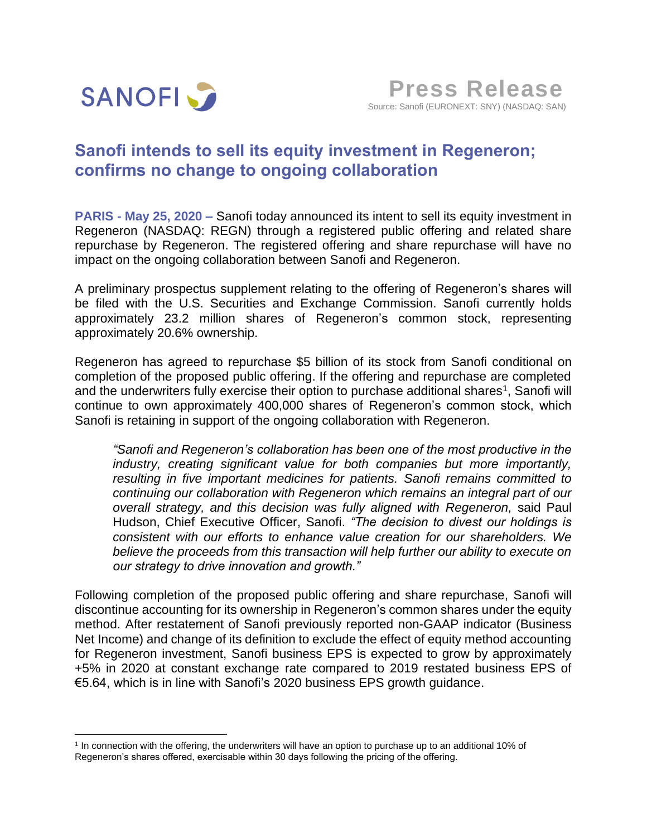

## **Sanofi intends to sell its equity investment in Regeneron; confirms no change to ongoing collaboration**

**PARIS - May 25, 2020 –** Sanofi today announced its intent to sell its equity investment in Regeneron (NASDAQ: REGN) through a registered public offering and related share repurchase by Regeneron. The registered offering and share repurchase will have no impact on the ongoing collaboration between Sanofi and Regeneron.

A preliminary prospectus supplement relating to the offering of Regeneron's shares will be filed with the U.S. Securities and Exchange Commission. Sanofi currently holds approximately 23.2 million shares of Regeneron's common stock, representing approximately 20.6% ownership.

Regeneron has agreed to repurchase \$5 billion of its stock from Sanofi conditional on completion of the proposed public offering. If the offering and repurchase are completed and the underwriters fully exercise their option to purchase additional shares<sup>1</sup>, Sanofi will continue to own approximately 400,000 shares of Regeneron's common stock, which Sanofi is retaining in support of the ongoing collaboration with Regeneron.

*"Sanofi and Regeneron's collaboration has been one of the most productive in the industry, creating significant value for both companies but more importantly, resulting in five important medicines for patients. Sanofi remains committed to continuing our collaboration with Regeneron which remains an integral part of our overall strategy, and this decision was fully aligned with Regeneron,* said Paul Hudson, Chief Executive Officer, Sanofi. *"The decision to divest our holdings is consistent with our efforts to enhance value creation for our shareholders. We believe the proceeds from this transaction will help further our ability to execute on our strategy to drive innovation and growth."*

Following completion of the proposed public offering and share repurchase, Sanofi will discontinue accounting for its ownership in Regeneron's common shares under the equity method. After restatement of Sanofi previously reported non-GAAP indicator (Business Net Income) and change of its definition to exclude the effect of equity method accounting for Regeneron investment, Sanofi business EPS is expected to grow by approximately +5% in 2020 at constant exchange rate compared to 2019 restated business EPS of €5.64, which is in line with Sanofi's 2020 business EPS growth guidance.

<sup>1</sup> In connection with the offering, the underwriters will have an option to purchase up to an additional 10% of Regeneron's shares offered, exercisable within 30 days following the pricing of the offering.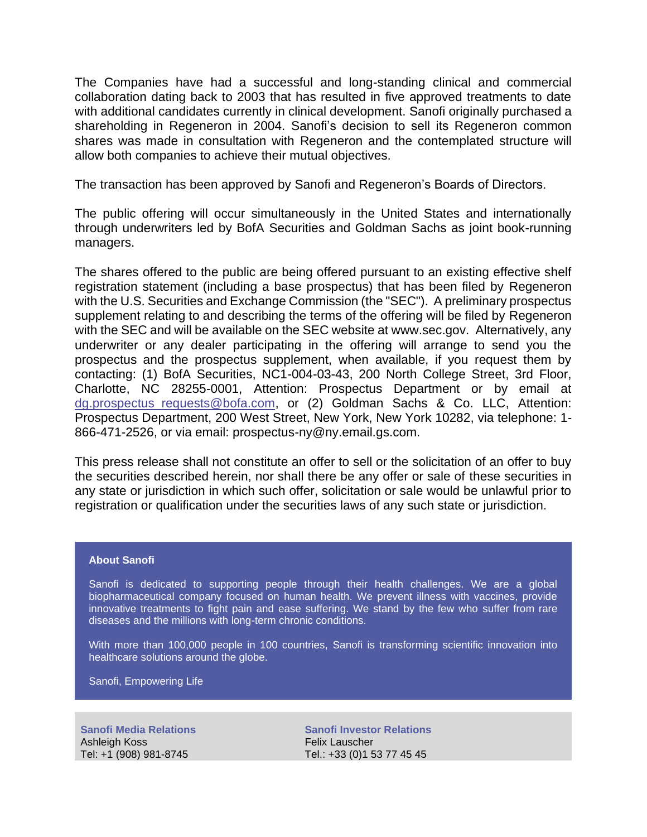The Companies have had a successful and long-standing clinical and commercial collaboration dating back to 2003 that has resulted in five approved treatments to date with additional candidates currently in clinical development. Sanofi originally purchased a shareholding in Regeneron in 2004. Sanofi's decision to sell its Regeneron common shares was made in consultation with Regeneron and the contemplated structure will allow both companies to achieve their mutual objectives.

The transaction has been approved by Sanofi and Regeneron's Boards of Directors.

The public offering will occur simultaneously in the United States and internationally through underwriters led by BofA Securities and Goldman Sachs as joint book-running managers.

The shares offered to the public are being offered pursuant to an existing effective shelf registration statement (including a base prospectus) that has been filed by Regeneron with the U.S. Securities and Exchange Commission (the "SEC"). A preliminary prospectus supplement relating to and describing the terms of the offering will be filed by Regeneron with the SEC and will be available on the SEC website at www.sec.gov. Alternatively, any underwriter or any dealer participating in the offering will arrange to send you the prospectus and the prospectus supplement, when available, if you request them by contacting: (1) BofA Securities, NC1-004-03-43, 200 North College Street, 3rd Floor, Charlotte, NC 28255-0001, Attention: Prospectus Department or by email at dg.prospectus requests@bofa.com, or (2) Goldman Sachs & Co. LLC, Attention: Prospectus Department, 200 West Street, New York, New York 10282, via telephone: 1- 866-471-2526, or via email: prospectus-ny@ny.email.gs.com.

This press release shall not constitute an offer to sell or the solicitation of an offer to buy the securities described herein, nor shall there be any offer or sale of these securities in any state or jurisdiction in which such offer, solicitation or sale would be unlawful prior to registration or qualification under the securities laws of any such state or jurisdiction.

## **About Sanofi**

Sanofi is dedicated to supporting people through their health challenges. We are a global biopharmaceutical company focused on human health. We prevent illness with vaccines, provide innovative treatments to fight pain and ease suffering. We stand by the few who suffer from rare diseases and the millions with long-term chronic conditions.

With more than 100,000 people in 100 countries, Sanofi is transforming scientific innovation into healthcare solutions around the globe.

Sanofi, Empowering Life

**Sanofi Media Relations**  Ashleigh Koss Tel: +1 (908) 981-8745

**Sanofi Investor Relations**  Felix Lauscher Tel.: +33 (0)1 53 77 45 45